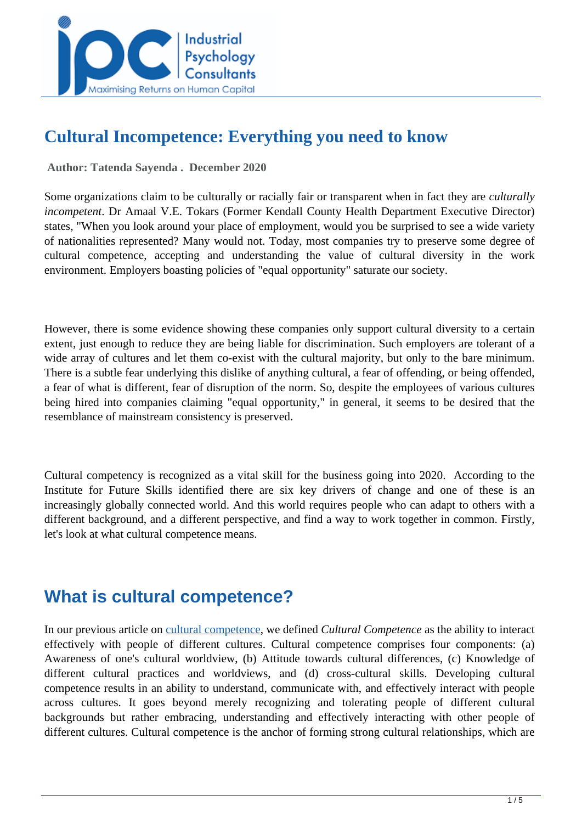

### **Cultural Incompetence: Everything you need to know**

 **Author: Tatenda Sayenda . December 2020** 

Some organizations claim to be culturally or racially fair or transparent when in fact they are *culturally incompetent*. Dr Amaal V.E. Tokars (Former Kendall County Health Department Executive Director) states, "When you look around your place of employment, would you be surprised to see a wide variety of nationalities represented? Many would not. Today, most companies try to preserve some degree of cultural competence, accepting and understanding the value of cultural diversity in the work environment. Employers boasting policies of "equal opportunity" saturate our society.

However, there is some evidence showing these companies only support cultural diversity to a certain extent, just enough to reduce they are being liable for discrimination. Such employers are tolerant of a wide array of cultures and let them co-exist with the cultural majority, but only to the bare minimum. There is a subtle fear underlying this dislike of anything cultural, a fear of offending, or being offended, a fear of what is different, fear of disruption of the norm. So, despite the employees of various cultures being hired into companies claiming "equal opportunity," in general, it seems to be desired that the resemblance of mainstream consistency is preserved.

Cultural competency is recognized as a vital skill for the business going into 2020. According to the Institute for Future Skills identified there are six key drivers of change and one of these is an increasingly globally connected world. And this world requires people who can adapt to others with a different background, and a different perspective, and find a way to work together in common. Firstly, let's look at what cultural competence means.

### **What is cultural competence?**

In our previous article on [cultural competence,](../articles/Cultural-Competence--Everything-You-Need-Know) we defined *Cultural Competence* as the ability to interact effectively with people of different cultures. Cultural competence comprises four components: (a) Awareness of one's cultural worldview, (b) Attitude towards cultural differences, (c) Knowledge of different cultural practices and worldviews, and (d) cross-cultural skills. Developing cultural competence results in an ability to understand, communicate with, and effectively interact with people across cultures. It goes beyond merely recognizing and tolerating people of different cultural backgrounds but rather embracing, understanding and effectively interacting with other people of different cultures. Cultural competence is the anchor of forming strong cultural relationships, which are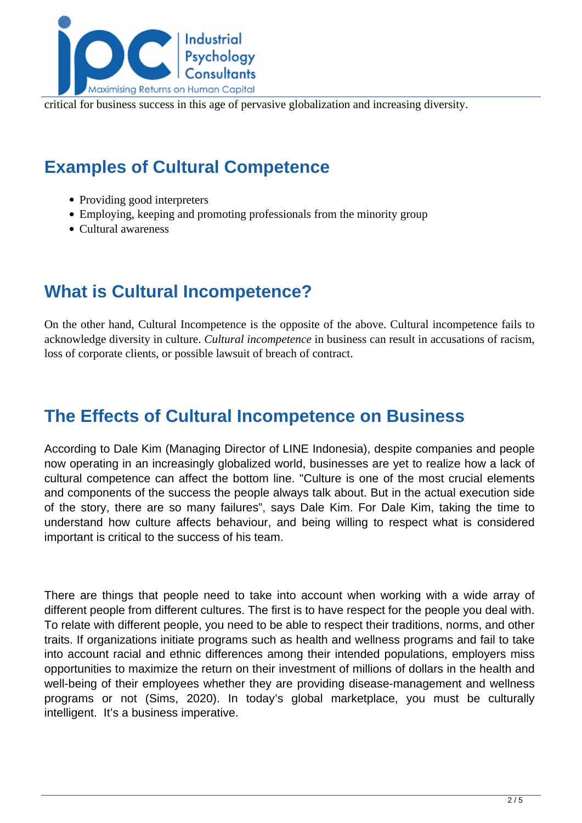

critical for business success in this age of pervasive globalization and increasing diversity.

# **Examples of Cultural Competence**

- Providing good interpreters
- Employing, keeping and promoting professionals from the minority group
- Cultural awareness

# **What is Cultural Incompetence?**

On the other hand, Cultural Incompetence is the opposite of the above. Cultural incompetence fails to acknowledge diversity in culture. *Cultural incompetence* in business can result in accusations of racism, loss of corporate clients, or possible lawsuit of breach of contract.

# **The Effects of Cultural Incompetence on Business**

According to Dale Kim (Managing Director of LINE Indonesia), despite companies and people now operating in an increasingly globalized world, businesses are yet to realize how a lack of cultural competence can affect the bottom line. "Culture is one of the most crucial elements and components of the success the people always talk about. But in the actual execution side of the story, there are so many failures", says Dale Kim. For Dale Kim, taking the time to understand how culture affects behaviour, and being willing to respect what is considered important is critical to the success of his team.

There are things that people need to take into account when working with a wide array of different people from different cultures. The first is to have respect for the people you deal with. To relate with different people, you need to be able to respect their traditions, norms, and other traits. If organizations initiate programs such as health and wellness programs and fail to take into account racial and ethnic differences among their intended populations, employers miss opportunities to maximize the return on their investment of millions of dollars in the health and well-being of their employees whether they are providing disease-management and wellness programs or not (Sims, 2020). In today's global marketplace, you must be culturally intelligent. It's a business imperative.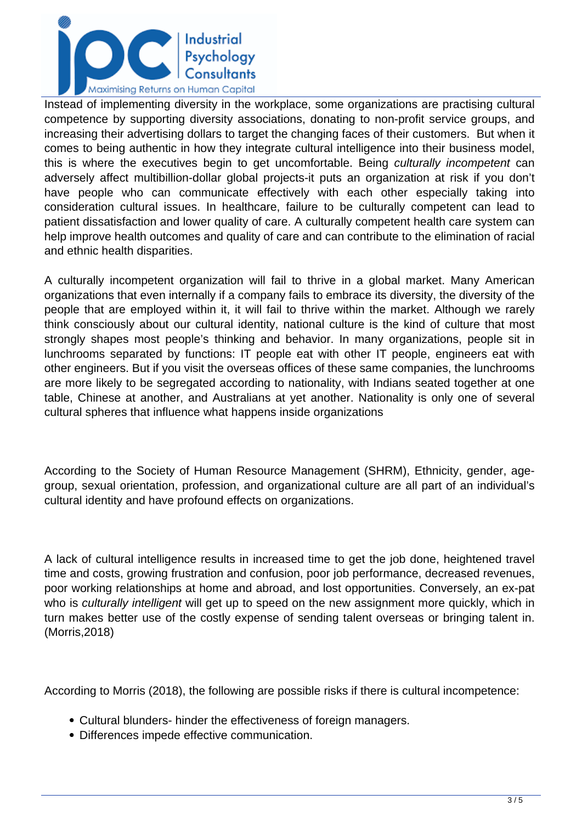

Instead of implementing diversity in the workplace, some organizations are practising cultural competence by supporting diversity associations, donating to non-profit service groups, and increasing their advertising dollars to target the changing faces of their customers. But when it comes to being authentic in how they integrate cultural intelligence into their business model, this is where the executives begin to get uncomfortable. Being culturally incompetent can adversely affect multibillion-dollar global projects-it puts an organization at risk if you don't have people who can communicate effectively with each other especially taking into consideration cultural issues. In healthcare, failure to be culturally competent can lead to patient dissatisfaction and lower quality of care. A culturally competent health care system can help improve health outcomes and quality of care and can contribute to the elimination of racial and ethnic health disparities.

A culturally incompetent organization will fail to thrive in a global market. Many American organizations that even internally if a company fails to embrace its diversity, the diversity of the people that are employed within it, it will fail to thrive within the market. Although we rarely think consciously about our cultural identity, national culture is the kind of culture that most strongly shapes most people's thinking and behavior. In many organizations, people sit in lunchrooms separated by functions: IT people eat with other IT people, engineers eat with other engineers. But if you visit the overseas offices of these same companies, the lunchrooms are more likely to be segregated according to nationality, with Indians seated together at one table, Chinese at another, and Australians at yet another. Nationality is only one of several cultural spheres that influence what happens inside organizations

According to the Society of Human Resource Management (SHRM), Ethnicity, gender, agegroup, sexual orientation, profession, and organizational culture are all part of an individual's cultural identity and have profound effects on organizations.

A lack of cultural intelligence results in increased time to get the job done, heightened travel time and costs, growing frustration and confusion, poor job performance, decreased revenues, poor working relationships at home and abroad, and lost opportunities. Conversely, an ex-pat who is culturally intelligent will get up to speed on the new assignment more quickly, which in turn makes better use of the costly expense of sending talent overseas or bringing talent in. (Morris,2018)

According to Morris (2018), the following are possible risks if there is cultural incompetence:

- Cultural blunders- hinder the effectiveness of foreign managers.
- Differences impede effective communication.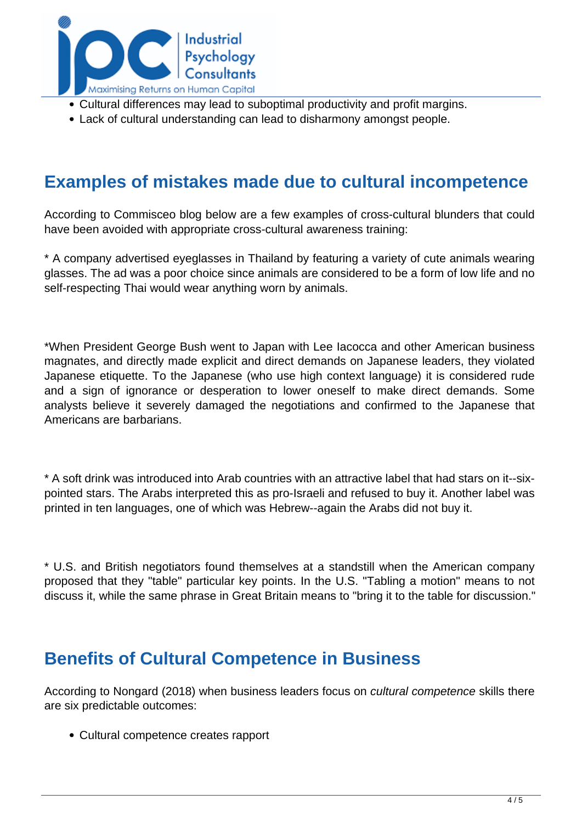

- Cultural differences may lead to suboptimal productivity and profit margins.
- Lack of cultural understanding can lead to disharmony amongst people.

#### **Examples of mistakes made due to cultural incompetence**

According to Commisceo blog below are a few examples of cross-cultural blunders that could have been avoided with appropriate cross-cultural awareness training:

\* A company advertised eyeglasses in Thailand by featuring a variety of cute animals wearing glasses. The ad was a poor choice since animals are considered to be a form of low life and no self-respecting Thai would wear anything worn by animals.

\*When President George Bush went to Japan with Lee Iacocca and other American business magnates, and directly made explicit and direct demands on Japanese leaders, they violated Japanese etiquette. To the Japanese (who use high context language) it is considered rude and a sign of ignorance or desperation to lower oneself to make direct demands. Some analysts believe it severely damaged the negotiations and confirmed to the Japanese that Americans are barbarians.

\* A soft drink was introduced into Arab countries with an attractive label that had stars on it--sixpointed stars. The Arabs interpreted this as pro-Israeli and refused to buy it. Another label was printed in ten languages, one of which was Hebrew--again the Arabs did not buy it.

\* U.S. and British negotiators found themselves at a standstill when the American company proposed that they "table" particular key points. In the U.S. "Tabling a motion" means to not discuss it, while the same phrase in Great Britain means to "bring it to the table for discussion."

#### **Benefits of Cultural Competence in Business**

According to Nongard (2018) when business leaders focus on cultural competence skills there are six predictable outcomes:

Cultural competence creates rapport